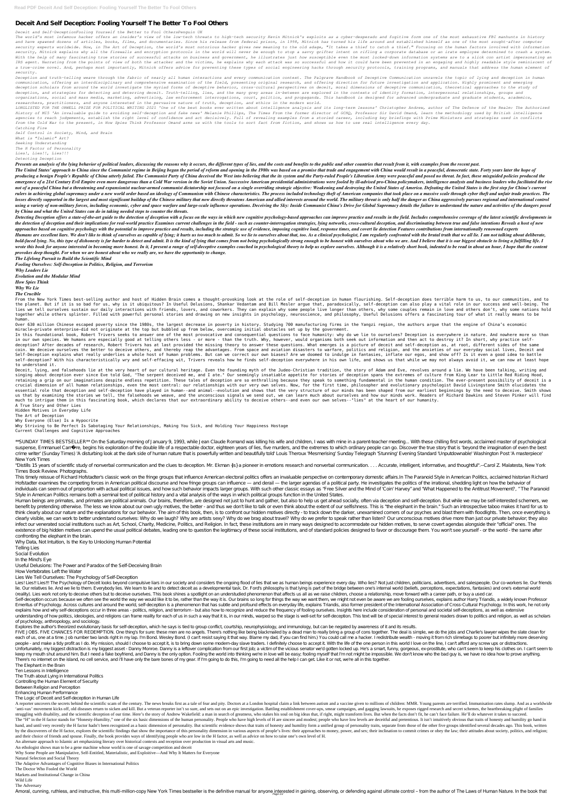## **Deceit And Self Deception: Fooling Yourself The Better To Fool Others**

## *Deceit and Self-DeceptionFooling Yourself the Better to Fool OthersPenguin UK*

The world's most infamous hacker offers an insider's view of the low-tech threats to high-tech security Kevin Mitnick's exploits as a cyber-desperado and fugitive form one of the most exhaustive FBI manhunts in history *and have spawned dozens of articles, books, films, and documentaries. Since his release from federal prison, in 1998, Mitnick has turned his life around and established himself as one of the most sought-after computer* security experts worldwide. Now, in The Art of Deception, the world's most notorious hacker gives new meaning to the old adage, "It takes a thief to catch a thief." Focusing on the human factors involved with information security, Mitnick explains why all the firewalls and encryption protocols in the world will never be enough to stop a savvy grifter intent on rifling a corporate database or an irate employee determined to crash a system. With the help of many fascinating true stories of successful attacks on business and government, he illustrates just how susceptible even the most locked-down information systems are to a slick con artist impersonating an IRS agent. Narrating from the points of view of both the attacker and the victims, he explains why each attack was so successful and how it could have been prevented in an engaging and highly readable style reminiscent of a true-crime novel. And, perhaps most importantly, Mitnick offers advice for preventing these types of social engineering hacks through security protocols, training programs, and manuals that address the human element of *security.*

Deception and truth-telling weave through the fabric of nearly all human interactions and every communication context. The Palgrave Handbook of Deceptive Communication unravels the topic of lying and deception in human *communication, offering an interdisciplinary and comprehensive examination of the field, presenting original research, and offering direction for future investigation and application. Highly prominent and emerging deception scholars from around the world investigate the myriad forms of deceptive behavior, cross-cultural perspectives on deceit, moral dimensions of deceptive communication, theoretical approaches to the study of deception, and strategies for detecting and deterring deceit. Truth-telling, lies, and the many grey areas in-between are explored in the contexts of identity formation, interpersonal relationships, groups and organizations, social and mass media, marketing, advertising, law enforcement interrogations, court, politics, and propaganda. This handbook is designed for advanced undergraduate and graduate students, academics, researchers, practitioners, and anyone interested in the pervasive nature of truth, deception, and ethics in the modern world.*

LONGLISTED FOR THE ORWELL PRIZE FOR POLITICAL WRITING 2021 'One of the best books ever written about intelligence analysis and its long-term lessons' Christopher Andrew, author of The Defence of the Realm: The Authorized *History of MI5 'An invaluable guide to avoiding self-deception and fake news' Melanie Phillips, The Times From the former director of GCHQ, Professor Sir David Omand, learn the methodology used by British intelligence agencies to reach judgements, establish the right level of confidence and act decisively. Full of revealing examples from a storied career, including key briefings with Prime Ministers and strategies used in conflicts from the Cold War to the present, in How Spies Think Professor Omand arms us with the tools to sort fact from fiction, and shows us how to use real intelligence every day. Catching Fire*

*Self Control in Society, Mind, and Brain What is "Islamic" Art? Seeking Understanding The H Factor of Personality Lies!, Lies!!, Lies!!! Detecting Deception* Presents an analysis of the lying behavior of political leaders, discussing the reasons why it occurs, the different types of lies, and the costs and benefits to the public and other countries that result from it, with exa

The United States' approach to China since the Communist regime in Beijing began the period of reform and opening in the 1980s was based on a promise that trade and engagement with China would result in a peaceful, democra producing a benign People's Republic of China utterly failed. The Communist Party of China deceived the West into believing that the its system and the Party-ruled People's Liberation Army were peaceful and posed no threat emergence of a 21st Century Evil Empire even more dangerous than a Cold War version in the Soviet Union. Successive American presidential administrations were fooled by ill-advised pro-China policymakers, intelligence anal not of a peaceful China but a threatening and expansionist nuclear-armed communist dictatorship not focused on a single overriding strategic objective: Weakening and destroying the United States of America. Defeating the U rulers in achieving global supremacy under a new world order based an ideology of Communism with Chinese characteristics. The process included technology theft of American companies that took place on a massive scale throu losses directly supported in the largest and most significant buildup of the Chinese military that now directly threatens American and allied interests around the world. The military threat is only half the danger as China using a variety of non-military forces, including economic, cyber and space warfare and large-scale influence operations. Deceiving the Sky: Inside Communist China's Drive for Global Supremacy details the failure to unders *by China and what the United States can do in taking needed steps to counter the threats.*

Detecting Deception offers a state-of-the-art guide to the detection of deception with a focus on the ways in which new cognitive psychology-based approaches can improve practice and results in the field. Includes comprehe the detection of deception and their implications for real-world practice Examines current challenges in the field - such as counter-interrogation strategies, lying networks, cross-cultural deception, and discriminating be approaches based on cognitive psychology with the potential to improve practice and results, including the strategic use of evidence, imposing cognitive load, response times, and covert lie detection Features contributions Humans are excellent liars. We don't like to think of ourselves as capable of lying; it hurts us too much to admit. So we lie to ourselves about that, too. As a clinical psychologist, I am regularly confronted with the bru bold-faced lying. No, this type of dishonesty is far harder to detect and admit. It is the kind of lying that comes from not being psychologically strong enough to be honest with ourselves about who we are. And I believe t wrote this book for anyone interested in becoming more honest. In it, I present a range of self-deceptive examples couched in psychological theory to help us explore ourselves. Although it is a relatively short book, inden *provokes deep thought. For when we are honest about who we really are, we have the opportunity to change.*

\*\*SUNDAY TIMES BESTSELLER\*\* On the Saturday morning of January 9, 1993, while Jean Claude Romand was killing his wife and children, I was with mine in a parent-teacher meeting... With these chilling first words, acclaimed suspense, Emmanuel Carrè re, begins his exploration of the double life of a respectable doctor, eighteen years of lies, five murders, and the extremes to which ordinary people can go. Discover the true story that is 'beyon crime writer' (Sunday Times) 'A disturbing look at the dark side of human nature that is powerfully written and beautifully told' Louis Theroux 'Mesmerising' Sunday Telegraph 'Stunning' Evening Standard 'Unputdownable' Was New York Times

"Distills 15 years of scientific study of nonverbal communication and the clues to deception. Mr. Ekman {is} a pioneer in emotions research and nonverbal communication. . . . Accurate, intelligent, informative, and thought Times Book Review. Photographs.

This timely reissue of Richard Hofstadter's classic work on the fringe groups that influence American electoral politics offers an invaluable perspective on contemporary domestic affairs. In The Paranoid Style in American Hofstadter examines the competing forces in American political discourse and how fringe groups can influence — and derail — the larger agendas of a political party. He investigates the politics of the irrational, shedding individuals can seem out of proportion with actual political issues, and how such behavior impacts larger groups. With such other classic essays as "Free Silver and the Mind of 'Coin' Harvey" and "What Happened to the Anti Style in American Politics remains both a seminal text of political history and a vital analysis of the ways in which political groups function in the United States.

Human beings are primates, and primates are political animals. Our brains, therefore, are designed not just to hunt and gather, but also to help us get ahead socially, often via deception and self-deception. But while we m benefit by pretending otherwise. The less we know about our own ugly motives, the better- and thus we don't like to talk or even think about the extent of our selfishness. This is "the elephant in the brain." Such an intro think clearly about our nature and the explanations for our behavior. The aim of this book, then, is to confront our hidden motives directly - to track down the darker, unexamined corners of our psyches and blast them with clearly visible, we can work to better understand ourselves: Why do we laugh? Why are artists sexy? Why do we brag about travel? Why do we prefer to speak rather than listen? Our unconscious motives drive more than just ou infect our venerated social institutions such as Art, School, Charity, Medicine, Politics, and Religion. In fact, these institutions are in many ways designed to accommodate our hidden motives, to serve covert agendas alon existence of big hidden motives can upend the usual political debates, leading one to question the legitimacy of these social institutions, and of standard policies designed to favor or discourage them. You won't see yours confronting the elephant in the brain.

Why Data, Not Intuition, Is the Key to Unlocking Human Potential

*The Lifelong Pursuit to Build the Scientific Mind Fooling Ourselves: Self-Deception in Politics, Religion, and Terrorism Why Leaders Lie Evolution and the Modular Mind How Spies Think Why We Lie The Crucible*

explains how and why self-deceptions occur in three areas - politics, religion, and terrorism - but also how to recognize and reduce the frequency of fooling ourselves. Insights here include consideration of personal and s understanding of how politics, ideologies, and religions can frame reality for each of us in such a way that it is, in our minds, warped so the stage is well-set for self-deception. This text will be of special interest to of psychology, anthropology, and sociology.

From the New York Times best-selling author and host of Hidden Brain comes a thought-provoking look at the role of self-deception in human flourishing. Self-deception does terrible harm to us, to our communities, and to the planet. But if it is so bad for us, why is it ubiquitous? In Useful Delusions, Shankar Vedantam and Bill Mesler argue that, paradoxically, self-deception can also play a vital role in our success and well-being. The lies we tell ourselves sustain our daily interactions with friends, lovers, and coworkers. They can explain why some people live longer than others, why some couples remain in love and others don't, why some nations hold together while others splinter. Filled with powerful personal stories and drawing on new insights in psychology, neuroscience, and philosophy, Useful Delusions offers a fascinating tour of what it really means to be human. Over 630 million Chinese escaped poverty since the 1980s, the largest decrease in poverty in history. Studying 700 manufacturing firms in the Yangzi region, the authors argue that the engine of China's economic miracle—private enterprise—did not originate at the top but bubbled up from below, overcoming initial obstacles set up by the government. In this foundational book, Robert Trivers seeks to answer one of the most provocative and consequential questions to face humanity: why do we lie to ourselves? Deception is everywhere in nature. And nowhere more so than in our own species. We humans are especially good at telling others less - or more - than the truth. Why, however, would organisms both seek out information and then act to destroy it? In short, why practice selfdeception? After decades of research, Robert Trivers has at last provided the missing theory to answer these questions. What emerges is a picture of deceit and self-deception as, at root, different sides of the same coin. We deceive ourselves the better to deceive others, and thereby reap the advantages. From space and aviation disasters to warfare, politics and religion, and the anxieties of our everyday social lives, Deceit and Self-Deception explains what really underlies a whole host of human problems. But can we correct our own biases? Are we doomed to indulge in fantasies, inflate our egos, and show off? Is it even a good idea to battle self-deception? With his characteristically wry and self-effacing wit, Trivers reveals how he finds self-deception everywhere in his own life, and shows us that while we may not always avoid it, we can now at least hope to understand it. Deceit, lying, and falsehoods lie at the very heart of our cultural heritage. Even the founding myth of the Judeo-Christian tradition, the story of Adam and Eve, revolves around a lie. We have been talking, writing and singing about deception ever since Eve told God, "The serpent deceived me, and I ate." Our seemingly insatiable appetite for stories of deception spans the extremes of culture from King Lear to Little Red Riding Hood, retaining a grip on our imaginations despite endless repetition. These tales of deception are so enthralling because they speak to something fundamental in the human condition. The ever-present possibility of deceit is a crucial dimension of all human relationships, even the most central: our relationships with our very own selves. Now, for the first time, philosopher and evolutionary psychologist David Livingstone Smith elucidates the essential role that deception and self-deception have played in human--and animal--evolution and shows that the very structure of our minds has been shaped from our earliest beginnings by the need to deceive. Smith shows us that by examining the stories we tell, the falsehoods we weave, and the unconscious signals we send out, we can learn much about ourselves and how our minds work. Readers of Richard Dawkins and Steven Pinker will find much to intrigue them in this fascinating book, which declares that our extraordinary ability to deceive others--and even our own selves--"lies" at the heart of our humanity. A True Story and Other Lies Hidden Motives in Everyday Life The Art of Deception Why Everyone (Else) Is a Hypocrite Why Striving to Be Perfect Is Sabotaging Your Relationships, Making You Sick, and Holding Your Happiness Hostage Current Challenges and Cognitive Approaches

A reporter uncovers the secrets behind the scientific scam of the century. The news breaks first as a tale of fear and pity. Doctors at a London hospital claim a link between autism and a vaccine given to millions of child 'anti-vax' movement kicks off, old diseases return to sicken and kill. But a veteran reporter isn't so sure, and sets out on an epic investigation. Battling establishment cover-ups, smear campaigns, and gagging lawsuits, h struggling with disability, and the scientific deception of our time. Here's the story of Andrew Wakefield: a man in search of greatness, who stakes his soul on big ideas that, if right, might transform lives. But when the The "H" in the H factor stands for "Honesty-Humility," one of the six basic dimensions of the human personality. People who have high levels of H are sincere and modest; people who have low levels are deceitful and pretent hand, and until very recently the H factor hadn't been recognized as a basic dimension of personality. But scientific evidence shows that traits of honesty and humility form a unified group of personality traits, separate by the discoverers of the H factor, explores the scientific findings that show the importance of this personality dimension in various aspects of people's lives: their approaches to money, power, and sex; their inclination and their choice of friends and spouse. Finally, the book provides ways of identifying people who are low in the H factor, as well as advice on how to raise one's own level of H.

Telling Lies

Social Evolution

In the Mind's Eye

Useful Delusions: The Power and Paradox of the Self-Deceiving Brain

How Vertebrates Left the Water

Lies We Tell Ourselves: The Psychology of Self-Deception

Lies! Lies!! Lies!! Lies!! The Psychology of Deceit looks beyond compulsive liars in our society and considers the ongoing flood of lies that we as human beings experience every day. Who lies? Not just children, politician lie. Our relatives lie. And we lie to them. Everybody lies. We learn to lie and to detect deceit as a developmental task. Dr. Ford's philosophy is that lying is part of the bridge between one's internal world (beliefs, per (reality). Lies work not only to deceive others but to deceive ourselves. This book shines a spotlight on an understudied phenomenon that affects us all as we raise children, choose a relationship, move forward with a care Self-deception occurs because we often see the world the way we would like it to be, rather than the way it is. Our brains so long for things the way we want them, we might not even be aware we are fooling ourselves, expla Emeritus of Psychology. Across cultures and around the world, self-deception is a phenomenon that has subtle and profound effects on everyday life, explains Triandis, also former president of the International Association

Explores the author's theorized evolutionary basis for self-deception, which he says is tied to group conflict, courtship, neurophysiology, and immunology, but can be negated by awareness of it and its results.

FIVE JOBS. FIVE CHANCES FOR REDEMPTION. One thing's for sure: these men are no angels. There's nothing like being blackmailed by a dead man to really bring a group of cons together. The deal is simple, we do the jobs and C each of us, one ata time. Job number two lands right in my lap. I'm Bond. Wesley Bond. (I can't resist saying it that way. Blame my dad, if you can find him.) You could call me a hacker. I redistribute wealth - moving it f people - and make a tidy profit as I do. My mission, should I choose to accept it, is to bring down some modern-day slave traders. I definitely choose to accept it. With the life of the one person in this world I love on t Unfortunately, my biggest distraction is my biggest asset - Danny Monroe. Danny is a leftover complication from our first job; a victim of the vicious senator we'd gotten locked up. He's a smart, funny, gorgeous, ex-prosti keep my mouth shut around him. But I need a fake boyfriend, and Danny is the only option. Fooling the world into thinking we're in love will be easy; fooling myself that I'm not might be impossible. We don't know who the b There's no internet on the island, no cell service, and i'll have only the bare bones of my gear. If I'm going to do this, I'm going to need all the help I can get. Like it or not, we're all in this together.

The Elephant in the Brain

Ten Lessons in Intelligence

The Truth about Lying in International Politics

Controlling the Human Element of Security

Between Religion and Perception

Enhancing Human Performance

The Logic of Deceit and Self-deception in Human Life

An alternate approach to Islamic art emphasizing literary over historical contexts and reception over production in visual arts and music.

An ethologist shows man to be a gene machine whose world is one of savage competition and deceit

Why Some People are Manipulative, Self-Entitled, Materialistic, and Exploitive—And Why It Matters for Everyone

Natural Selection and Social Theory

The Adaptive Advantages of Cognitive Biases in International Politics

The Doctor Who Fooled the World

Markets and Institutional Change in China

Wild Life

The Adversary

Amoral, cunning, ruthless, and instructive, this multi-million-copy New York Times bestseller is the definitive manual for anyone interested in gaining, observing, or defending against ultimate control – from the author of